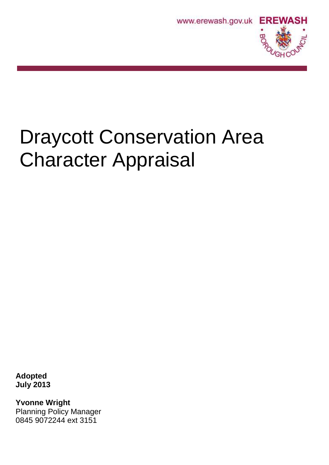



# Draycott Conservation Area Character Appraisal

**Adopted July 2013**

**Yvonne Wright** Planning Policy Manager 0845 9072244 ext 3151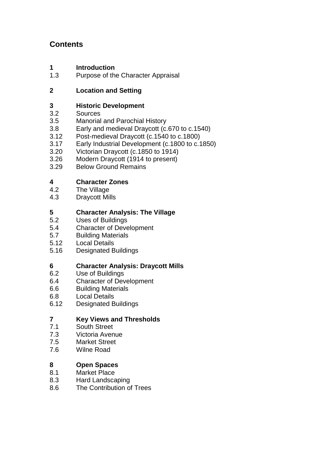# **Contents**

- **1 Introduction**<br>**1.3** Purpose of the
- Purpose of the Character Appraisal

# **2 Location and Setting**

# **3 Historic Development**<br>3.2 **Sources**

- Sources
- 3.5 Manorial and Parochial History
- 3.8 Early and medieval Draycott (c.670 to c.1540)<br>3.12 Post-medieval Draycott (c.1540 to c.1800)
- Post-medieval Draycott (c.1540 to c.1800)
- 3.17 Early Industrial Development (c.1800 to c.1850)
- 3.20 Victorian Draycott (c.1850 to 1914)
- 3.26 Modern Draycott (1914 to present)
- 3.29 Below Ground Remains

# **4 Character Zones**

- 4.2 The Village
- 4.3 Draycott Mills

# **5 Character Analysis: The Village**

- Uses of Buildings
- 5.4 Character of Development
- 5.7 Building Materials
- 5.12 Local Details
- 5.16 Designated Buildings

# **6 Character Analysis: Draycott Mills**

- 6.2 Use of Buildings
- 6.4 Character of Development
- 6.6 Building Materials
- 6.8 Local Details
- 6.12 Designated Buildings

# **7 Key Views and Thresholds**

- 7.1 South Street
- 7.3 Victoria Avenue
- 7.5 Market Street
- 7.6 Wilne Road

# **8 Open Spaces**

- 8.1 Market Place
- 8.3 Hard Landscaping
- 8.6 The Contribution of Trees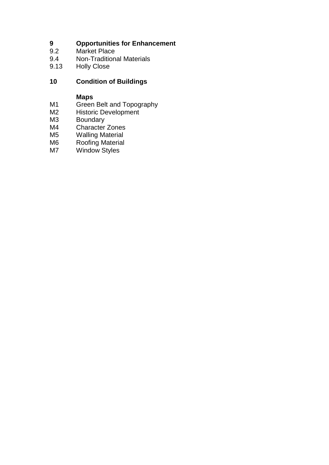# **9 <b>Opportunities for Enhancement**<br>9.2 Market Place

- 9.2 Market Place<br>9.4 Non-Tradition
- 9.4 Non-Traditional Materials<br>9.13 Holly Close
- **Holly Close**

# **10 Condition of Buildings**

#### **Maps**

- M1 Green Belt and Topography
- M2 Historic Development
- M3 Boundary
- M4 Character Zones
- M5 Walling Material<br>M6 Roofing Material
- M6 Roofing Material<br>M7 Window Styles
- Window Styles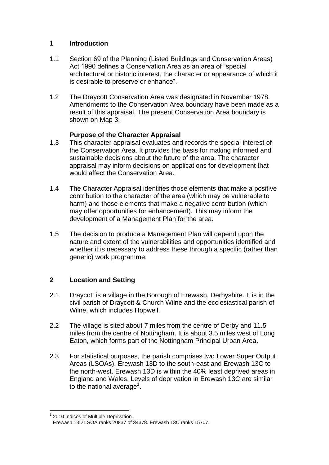#### **1 Introduction**

- 1.1 Section 69 of the Planning (Listed Buildings and Conservation Areas) Act 1990 defines a Conservation Area as an area of "special architectural or historic interest, the character or appearance of which it is desirable to preserve or enhance".
- 1.2 The Draycott Conservation Area was designated in November 1978. Amendments to the Conservation Area boundary have been made as a result of this appraisal. The present Conservation Area boundary is shown on Map 3.

# **Purpose of the Character Appraisal**

- 1.3 This character appraisal evaluates and records the special interest of the Conservation Area. It provides the basis for making informed and sustainable decisions about the future of the area. The character appraisal may inform decisions on applications for development that would affect the Conservation Area.
- 1.4 The Character Appraisal identifies those elements that make a positive contribution to the character of the area (which may be vulnerable to harm) and those elements that make a negative contribution (which may offer opportunities for enhancement). This may inform the development of a Management Plan for the area.
- 1.5 The decision to produce a Management Plan will depend upon the nature and extent of the vulnerabilities and opportunities identified and whether it is necessary to address these through a specific (rather than generic) work programme.

# **2 Location and Setting**

- 2.1 Draycott is a village in the Borough of Erewash, Derbyshire. It is in the civil parish of Draycott & Church Wilne and the ecclesiastical parish of Wilne, which includes Hopwell.
- 2.2 The village is sited about 7 miles from the centre of Derby and 11.5 miles from the centre of Nottingham. It is about 3.5 miles west of Long Eaton, which forms part of the Nottingham Principal Urban Area.
- 2.3 For statistical purposes, the parish comprises two Lower Super Output Areas (LSOAs), Erewash 13D to the south-east and Erewash 13C to the north-west. Erewash 13D is within the 40% least deprived areas in England and Wales. Levels of deprivation in Erewash 13C are similar to the national average<sup>1</sup>.

 $\overline{a}$ <sup>1</sup> 2010 Indices of Multiple Deprivation.

Erewash 13D LSOA ranks 20837 of 34378. Erewash 13C ranks 15707.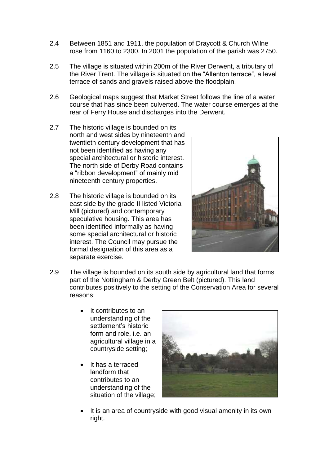- 2.4 Between 1851 and 1911, the population of Draycott & Church Wilne rose from 1160 to 2300. In 2001 the population of the parish was 2750.
- 2.5 The village is situated within 200m of the River Derwent, a tributary of the River Trent. The village is situated on the "Allenton terrace", a level terrace of sands and gravels raised above the floodplain.
- 2.6 Geological maps suggest that Market Street follows the line of a water course that has since been culverted. The water course emerges at the rear of Ferry House and discharges into the Derwent.
- 2.7 The historic village is bounded on its north and west sides by nineteenth and twentieth century development that has not been identified as having any special architectural or historic interest. The north side of Derby Road contains a "ribbon development" of mainly mid nineteenth century properties.
- 2.8 The historic village is bounded on its east side by the grade II listed Victoria Mill (pictured) and contemporary speculative housing. This area has been identified informally as having some special architectural or historic interest. The Council may pursue the formal designation of this area as a separate exercise.



- 2.9 The village is bounded on its south side by agricultural land that forms part of the Nottingham & Derby Green Belt (pictured). This land contributes positively to the setting of the Conservation Area for several reasons:
	- It contributes to an understanding of the settlement's historic form and role, i.e. an agricultural village in a countryside setting;
	- It has a terraced landform that contributes to an understanding of the situation of the village;



 It is an area of countryside with good visual amenity in its own right.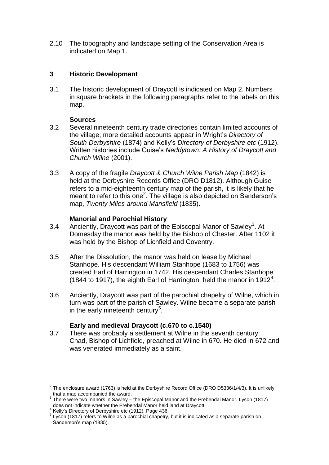2.10 The topography and landscape setting of the Conservation Area is indicated on Map 1.

#### **3 Historic Development**

3.1 The historic development of Draycott is indicated on Map 2. Numbers in square brackets in the following paragraphs refer to the labels on this map.

#### **Sources**

- 3.2 Several nineteenth century trade directories contain limited accounts of the village; more detailed accounts appear in Wright's *Directory of South Derbyshire* (1874) and Kelly's *Directory of Derbyshire etc* (1912). Written histories include Guise's *Neddytown: A History of Draycott and Church Wilne* (2001).
- 3.3 A copy of the fragile *Draycott & Church Wilne Parish Map* (1842) is held at the Derbyshire Records Office (DRO D1812). Although Guise refers to a mid-eighteenth century map of the parish, it is likely that he meant to refer to this one<sup>2</sup>. The village is also depicted on Sanderson's map, *Twenty Miles around Mansfield* (1835).

#### **Manorial and Parochial History**

- 3.4 Anciently, Draycott was part of the Episcopal Manor of Sawley<sup>3</sup>. At Domesday the manor was held by the Bishop of Chester. After 1102 it was held by the Bishop of Lichfield and Coventry.
- 3.5 After the Dissolution, the manor was held on lease by Michael Stanhope. His descendant William Stanhope (1683 to 1756) was created Earl of Harrington in 1742. His descendant Charles Stanhope (1844 to 1917), the eighth Earl of Harrington, held the manor in 1912<sup>4</sup>.
- 3.6 Anciently, Draycott was part of the parochial chapelry of Wilne, which in turn was part of the parish of Sawley. Wilne became a separate parish in the early nineteenth century<sup>5</sup>.

# **Early and medieval Draycott (c.670 to c.1540)**

3.7 There was probably a settlement at Wilne in the seventh century. Chad, Bishop of Lichfield, preached at Wilne in 670. He died in 672 and was venerated immediately as a saint.

 $\overline{a}$ 

 $^2$  The enclosure award (1763) is held at the Derbyshire Record Office (DRO D5336/1/4/3). It is unlikely that a map accompanied the award.

 $3$  There were two manors in Sawley – the Episcopal Manor and the Prebendal Manor. Lyson (1817) does not indicate whether the Prebendal Manor held land at Draycott.

<sup>&</sup>lt;sup>4</sup> Kelly's Directory of Derbyshire etc (1912). Page 436.

 $5$  Lyson (1817) refers to Wilne as a parochial chapelry, but it is indicated as a separate parish on Sanderson's map (1835).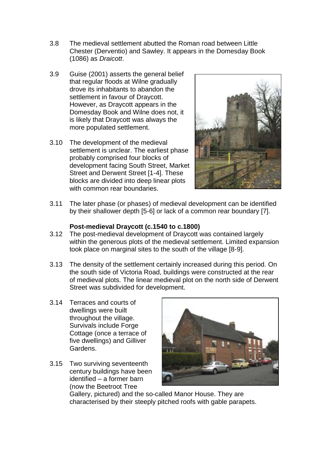- 3.8 The medieval settlement abutted the Roman road between Little Chester (Derventio) and Sawley. It appears in the Domesday Book (1086) as *Draicott*.
- 3.9 Guise (2001) asserts the general belief that regular floods at Wilne gradually drove its inhabitants to abandon the settlement in favour of Draycott. However, as Draycott appears in the Domesday Book and Wilne does not, it is likely that Draycott was always the more populated settlement.
- 3.10 The development of the medieval settlement is unclear. The earliest phase probably comprised four blocks of development facing South Street, Market Street and Derwent Street [1-4]. These blocks are divided into deep linear plots with common rear boundaries.



3.11 The later phase (or phases) of medieval development can be identified by their shallower depth [5-6] or lack of a common rear boundary [7].

#### **Post-medieval Draycott (c.1540 to c.1800)**

- 3.12 The post-medieval development of Draycott was contained largely within the generous plots of the medieval settlement. Limited expansion took place on marginal sites to the south of the village [8-9].
- 3.13 The density of the settlement certainly increased during this period. On the south side of Victoria Road, buildings were constructed at the rear of medieval plots. The linear medieval plot on the north side of Derwent Street was subdivided for development.
- 3.14 Terraces and courts of dwellings were built throughout the village. Survivals include Forge Cottage (once a terrace of five dwellings) and Gilliver Gardens.
- 3.15 Two surviving seventeenth century buildings have been identified – a former barn (now the Beetroot Tree



Gallery, pictured) and the so-called Manor House. They are characterised by their steeply pitched roofs with gable parapets.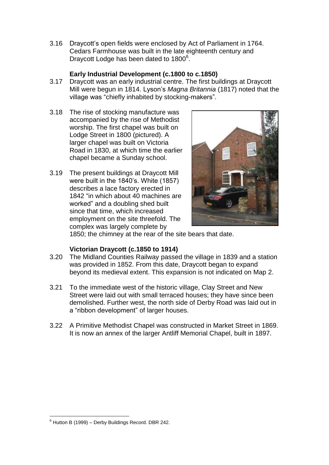3.16 Draycott's open fields were enclosed by Act of Parliament in 1764. Cedars Farmhouse was built in the late eighteenth century and Draycott Lodge has been dated to 1800<sup>6</sup>.

# **Early Industrial Development (c.1800 to c.1850)**

- 3.17 Draycott was an early industrial centre. The first buildings at Draycott Mill were begun in 1814. Lyson's *Magna Britannia* (1817) noted that the village was "chiefly inhabited by stocking-makers".
- 3.18 The rise of stocking manufacture was accompanied by the rise of Methodist worship. The first chapel was built on Lodge Street in 1800 (pictured). A larger chapel was built on Victoria Road in 1830, at which time the earlier chapel became a Sunday school.
- 3.19 The present buildings at Draycott Mill were built in the 1840's. White (1857) describes a lace factory erected in 1842 "in which about 40 machines are worked" and a doubling shed built since that time, which increased employment on the site threefold. The complex was largely complete by



1850; the chimney at the rear of the site bears that date.

# **Victorian Draycott (c.1850 to 1914)**

- 3.20 The Midland Counties Railway passed the village in 1839 and a station was provided in 1852. From this date, Draycott began to expand beyond its medieval extent. This expansion is not indicated on Map 2.
- 3.21 To the immediate west of the historic village, Clay Street and New Street were laid out with small terraced houses; they have since been demolished. Further west, the north side of Derby Road was laid out in a "ribbon development" of larger houses.
- 3.22 A Primitive Methodist Chapel was constructed in Market Street in 1869. It is now an annex of the larger Antliff Memorial Chapel, built in 1897.

 $\overline{a}$  $6$  Hutton B (1999) – Derby Buildings Record. DBR 242.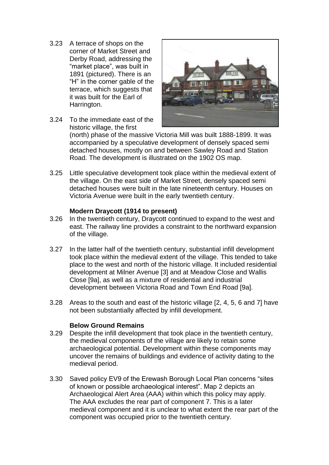- 3.23 A terrace of shops on the corner of Market Street and Derby Road, addressing the "market place", was built in 1891 (pictured). There is an "H" in the corner gable of the terrace, which suggests that it was built for the Earl of Harrington.
- 3.24 To the immediate east of the historic village, the first



(north) phase of the massive Victoria Mill was built 1888-1899. It was accompanied by a speculative development of densely spaced semi detached houses, mostly on and between Sawley Road and Station Road. The development is illustrated on the 1902 OS map.

3.25 Little speculative development took place within the medieval extent of the village. On the east side of Market Street, densely spaced semi detached houses were built in the late nineteenth century. Houses on Victoria Avenue were built in the early twentieth century.

#### **Modern Draycott (1914 to present)**

- 3.26 In the twentieth century, Draycott continued to expand to the west and east. The railway line provides a constraint to the northward expansion of the village.
- 3.27 In the latter half of the twentieth century, substantial infill development took place within the medieval extent of the village. This tended to take place to the west and north of the historic village. It included residential development at Milner Avenue [3] and at Meadow Close and Wallis Close [9a], as well as a mixture of residential and industrial development between Victoria Road and Town End Road [9a].
- 3.28 Areas to the south and east of the historic village [2, 4, 5, 6 and 7] have not been substantially affected by infill development.

#### **Below Ground Remains**

- 3.29 Despite the infill development that took place in the twentieth century, the medieval components of the village are likely to retain some archaeological potential. Development within these components may uncover the remains of buildings and evidence of activity dating to the medieval period.
- 3.30 Saved policy EV9 of the Erewash Borough Local Plan concerns "sites of known or possible archaeological interest". Map 2 depicts an Archaeological Alert Area (AAA) within which this policy may apply. The AAA excludes the rear part of component 7. This is a later medieval component and it is unclear to what extent the rear part of the component was occupied prior to the twentieth century.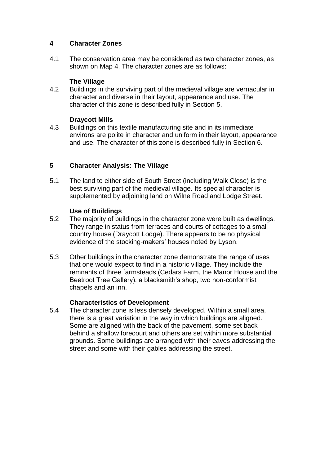# **4 Character Zones**

4.1 The conservation area may be considered as two character zones, as shown on Map 4. The character zones are as follows:

# **The Village**

4.2 Buildings in the surviving part of the medieval village are vernacular in character and diverse in their layout, appearance and use. The character of this zone is described fully in Section 5.

#### **Draycott Mills**

4.3 Buildings on this textile manufacturing site and in its immediate environs are polite in character and uniform in their layout, appearance and use. The character of this zone is described fully in Section 6.

#### **5 Character Analysis: The Village**

5.1 The land to either side of South Street (including Walk Close) is the best surviving part of the medieval village. Its special character is supplemented by adjoining land on Wilne Road and Lodge Street.

#### **Use of Buildings**

- 5.2 The majority of buildings in the character zone were built as dwellings. They range in status from terraces and courts of cottages to a small country house (Draycott Lodge). There appears to be no physical evidence of the stocking-makers' houses noted by Lyson.
- 5.3 Other buildings in the character zone demonstrate the range of uses that one would expect to find in a historic village. They include the remnants of three farmsteads (Cedars Farm, the Manor House and the Beetroot Tree Gallery), a blacksmith's shop, two non-conformist chapels and an inn.

#### **Characteristics of Development**

5.4 The character zone is less densely developed. Within a small area, there is a great variation in the way in which buildings are aligned. Some are aligned with the back of the pavement, some set back behind a shallow forecourt and others are set within more substantial grounds. Some buildings are arranged with their eaves addressing the street and some with their gables addressing the street.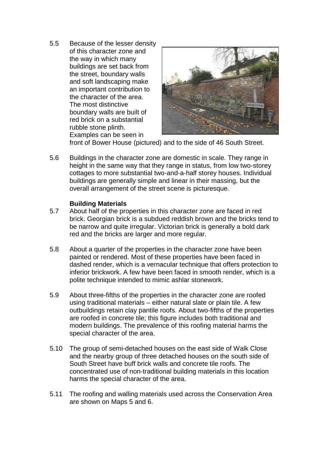5.5 Because of the lesser density of this character zone and the way in which many buildings are set back from the street, boundary walls and soft landscaping make an important contribution to the character of the area. The most distinctive boundary walls are built of red brick on a substantial rubble stone plinth. Examples can be seen in



front of Bower House (pictured) and to the side of 46 South Street.

5.6 Buildings in the character zone are domestic in scale. They range in height in the same way that they range in status, from low two-storey cottages to more substantial two-and-a-half storey houses. Individual buildings are generally simple and linear in their massing, but the overall arrangement of the street scene is picturesque.

#### **Building Materials**

- 5.7 About half of the properties in this character zone are faced in red brick. Georgian brick is a subdued reddish brown and the bricks tend to be narrow and quite irregular. Victorian brick is generally a bold dark red and the bricks are larger and more regular.
- 5.8 About a quarter of the properties in the character zone have been painted or rendered. Most of these properties have been faced in dashed render, which is a vernacular technique that offers protection to inferior brickwork. A few have been faced in smooth render, which is a polite technique intended to mimic ashlar stonework.
- 5.9 About three-fifths of the properties in the character zone are roofed using traditional materials – either natural slate or plain tile. A few outbuildings retain clay pantile roofs. About two-fifths of the properties are roofed in concrete tile; this figure includes both traditional and modern buildings. The prevalence of this roofing material harms the special character of the area.
- 5.10 The group of semi-detached houses on the east side of Walk Close and the nearby group of three detached houses on the south side of South Street have buff brick walls and concrete tile roofs. The concentrated use of non-traditional building materials in this location harms the special character of the area.
- 5.11 The roofing and walling materials used across the Conservation Area are shown on Maps 5 and 6.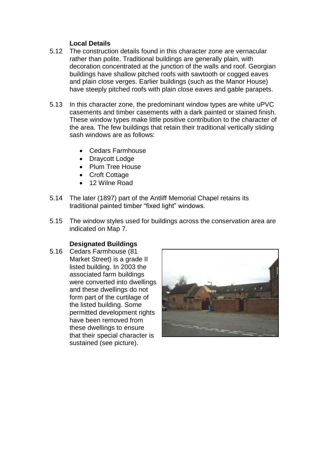#### **Local Details**

- 5.12 The construction details found in this character zone are vernacular rather than polite. Traditional buildings are generally plain, with decoration concentrated at the junction of the walls and roof. Georgian buildings have shallow pitched roofs with sawtooth or cogged eaves and plain close verges. Earlier buildings (such as the Manor House) have steeply pitched roofs with plain close eaves and gable parapets.
- 5.13 In this character zone, the predominant window types are white uPVC casements and timber casements with a dark painted or stained finish. These window types make little positive contribution to the character of the area. The few buildings that retain their traditional vertically sliding sash windows are as follows:
	- Cedars Farmhouse
	- Draycott Lodge
	- Plum Tree House
	- Croft Cottage
	- 12 Wilne Road
- 5.14 The later (1897) part of the Antliff Memorial Chapel retains its traditional painted timber "fixed light" windows.
- 5.15 The window styles used for buildings across the conservation area are indicated on Map 7.

#### **Designated Buildings**

5.16 Cedars Farmhouse (81 Market Street) is a grade II listed building. In 2003 the associated farm buildings were converted into dwellings and these dwellings do not form part of the curtilage of the listed building. Some permitted development rights have been removed from these dwellings to ensure that their special character is sustained (see picture).

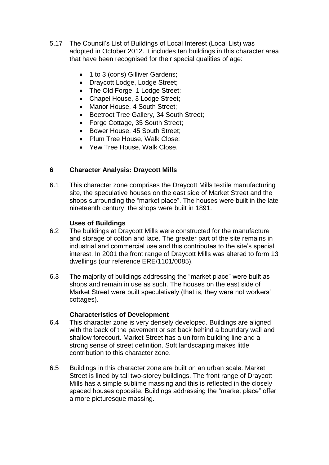- 5.17 The Council's List of Buildings of Local Interest (Local List) was adopted in October 2012. It includes ten buildings in this character area that have been recognised for their special qualities of age:
	- 1 to 3 (cons) Gilliver Gardens;
	- Draycott Lodge, Lodge Street;
	- The Old Forge, 1 Lodge Street;
	- Chapel House, 3 Lodge Street;
	- Manor House, 4 South Street:
	- Beetroot Tree Gallery, 34 South Street;
	- Forge Cottage, 35 South Street;
	- Bower House, 45 South Street:
	- Plum Tree House, Walk Close;
	- Yew Tree House, Walk Close.

# **6 Character Analysis: Draycott Mills**

6.1 This character zone comprises the Draycott Mills textile manufacturing site, the speculative houses on the east side of Market Street and the shops surrounding the "market place". The houses were built in the late nineteenth century; the shops were built in 1891.

#### **Uses of Buildings**

- 6.2 The buildings at Draycott Mills were constructed for the manufacture and storage of cotton and lace. The greater part of the site remains in industrial and commercial use and this contributes to the site's special interest. In 2001 the front range of Draycott Mills was altered to form 13 dwellings (our reference ERE/1101/0085).
- 6.3 The majority of buildings addressing the "market place" were built as shops and remain in use as such. The houses on the east side of Market Street were built speculatively (that is, they were not workers' cottages).

#### **Characteristics of Development**

- 6.4 This character zone is very densely developed. Buildings are aligned with the back of the pavement or set back behind a boundary wall and shallow forecourt. Market Street has a uniform building line and a strong sense of street definition. Soft landscaping makes little contribution to this character zone.
- 6.5 Buildings in this character zone are built on an urban scale. Market Street is lined by tall two-storey buildings. The front range of Draycott Mills has a simple sublime massing and this is reflected in the closely spaced houses opposite. Buildings addressing the "market place" offer a more picturesque massing.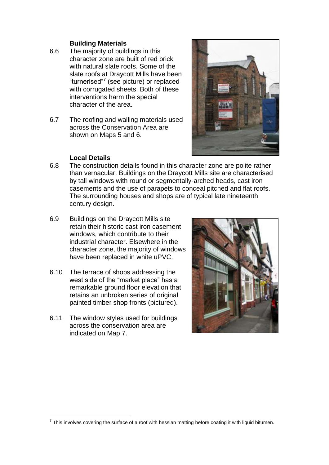#### **Building Materials**

- 6.6 The majority of buildings in this character zone are built of red brick with natural slate roofs. Some of the slate roofs at Draycott Mills have been "turnerised"<sup>7</sup> (see picture) or replaced with corrugated sheets. Both of these interventions harm the special character of the area.
- 6.7 The roofing and walling materials used across the Conservation Area are shown on Maps 5 and 6.



#### **Local Details**

- 6.8 The construction details found in this character zone are polite rather than vernacular. Buildings on the Draycott Mills site are characterised by tall windows with round or segmentally-arched heads, cast iron casements and the use of parapets to conceal pitched and flat roofs. The surrounding houses and shops are of typical late nineteenth century design.
- 6.9 Buildings on the Draycott Mills site retain their historic cast iron casement windows, which contribute to their industrial character. Elsewhere in the character zone, the majority of windows have been replaced in white uPVC.
- 6.10 The terrace of shops addressing the west side of the "market place" has a remarkable ground floor elevation that retains an unbroken series of original painted timber shop fronts (pictured).
- 6.11 The window styles used for buildings across the conservation area are indicated on Map 7.



 $\overline{a}$  $<sup>7</sup>$  This involves covering the surface of a roof with hessian matting before coating it with liquid bitumen.</sup>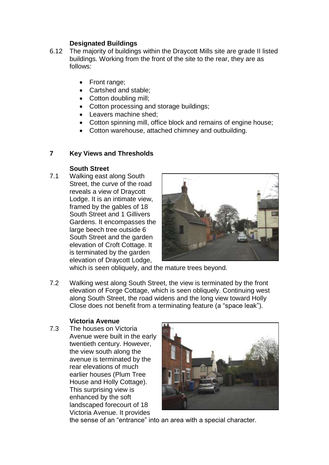# **Designated Buildings**

- 6.12 The majority of buildings within the Draycott Mills site are grade II listed buildings. Working from the front of the site to the rear, they are as follows:
	- Front range;
	- Cartshed and stable;
	- Cotton doubling mill;
	- Cotton processing and storage buildings;
	- Leavers machine shed;
	- Cotton spinning mill, office block and remains of engine house;
	- Cotton warehouse, attached chimney and outbuilding.

#### **7 Key Views and Thresholds**

#### **South Street**

7.1 Walking east along South Street, the curve of the road reveals a view of Draycott Lodge. It is an intimate view, framed by the gables of 18 South Street and 1 Gillivers Gardens. It encompasses the large beech tree outside 6 South Street and the garden elevation of Croft Cottage. It is terminated by the garden elevation of Draycott Lodge,



which is seen obliquely, and the mature trees beyond.

7.2 Walking west along South Street, the view is terminated by the front elevation of Forge Cottage, which is seen obliquely. Continuing west along South Street, the road widens and the long view toward Holly Close does not benefit from a terminating feature (a "space leak").

#### **Victoria Avenue**

7.3 The houses on Victoria Avenue were built in the early twentieth century. However, the view south along the avenue is terminated by the rear elevations of much earlier houses (Plum Tree House and Holly Cottage). This surprising view is enhanced by the soft landscaped forecourt of 18 Victoria Avenue. It provides



the sense of an "entrance" into an area with a special character.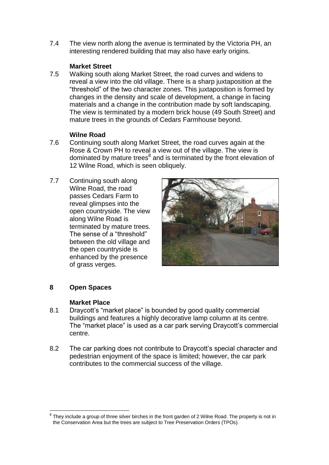7.4 The view north along the avenue is terminated by the Victoria PH, an interesting rendered building that may also have early origins.

#### **Market Street**

7.5 Walking south along Market Street, the road curves and widens to reveal a view into the old village. There is a sharp juxtaposition at the "threshold" of the two character zones. This juxtaposition is formed by changes in the density and scale of development, a change in facing materials and a change in the contribution made by soft landscaping. The view is terminated by a modern brick house (49 South Street) and mature trees in the grounds of Cedars Farmhouse beyond.

#### **Wilne Road**

- 7.6 Continuing south along Market Street, the road curves again at the Rose & Crown PH to reveal a view out of the village. The view is dominated by mature trees<sup>8</sup> and is terminated by the front elevation of 12 Wilne Road, which is seen obliquely.
- 7.7 Continuing south along Wilne Road, the road passes Cedars Farm to reveal glimpses into the open countryside. The view along Wilne Road is terminated by mature trees. The sense of a "threshold" between the old village and the open countryside is enhanced by the presence of grass verges.



# **8 Open Spaces**

#### **Market Place**

- 8.1 Draycott's "market place" is bounded by good quality commercial buildings and features a highly decorative lamp column at its centre. The "market place" is used as a car park serving Draycott's commercial centre.
- 8.2 The car parking does not contribute to Draycott's special character and pedestrian enjoyment of the space is limited; however, the car park contributes to the commercial success of the village.

 $\overline{a}$  $8$  They include a group of three silver birches in the front garden of 2 Wilne Road. The property is not in the Conservation Area but the trees are subject to Tree Preservation Orders (TPOs).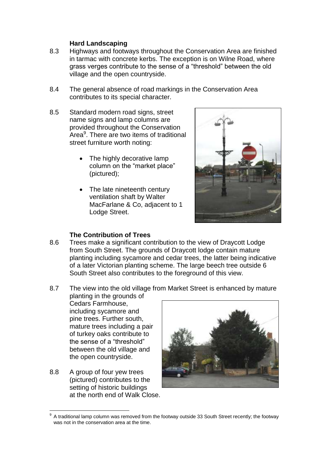#### **Hard Landscaping**

- 8.3 Highways and footways throughout the Conservation Area are finished in tarmac with concrete kerbs. The exception is on Wilne Road, where grass verges contribute to the sense of a "threshold" between the old village and the open countryside.
- 8.4 The general absence of road markings in the Conservation Area contributes to its special character.
- 8.5 Standard modern road signs, street name signs and lamp columns are provided throughout the Conservation Area<sup>9</sup>. There are two items of traditional street furniture worth noting:
	- The highly decorative lamp column on the "market place" (pictured);
	- The late nineteenth century ventilation shaft by Walter MacFarlane & Co, adjacent to 1 Lodge Street.



#### **The Contribution of Trees**

- 8.6 Trees make a significant contribution to the view of Draycott Lodge from South Street. The grounds of Draycott lodge contain mature planting including sycamore and cedar trees, the latter being indicative of a later Victorian planting scheme. The large beech tree outside 6 South Street also contributes to the foreground of this view.
- 8.7 The view into the old village from Market Street is enhanced by mature planting in the grounds of

Cedars Farmhouse, including sycamore and pine trees. Further south, mature trees including a pair of turkey oaks contribute to the sense of a "threshold" between the old village and the open countryside.

8.8 A group of four yew trees (pictured) contributes to the setting of historic buildings at the north end of Walk Close.



 $\overline{a}$ 9 A traditional lamp column was removed from the footway outside 33 South Street recently; the footway was not in the conservation area at the time.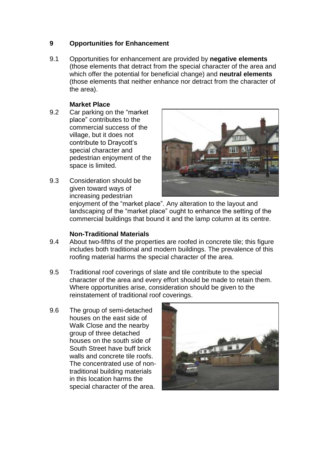# **9 Opportunities for Enhancement**

9.1 Opportunities for enhancement are provided by **negative elements**  (those elements that detract from the special character of the area and which offer the potential for beneficial change) and **neutral elements**  (those elements that neither enhance nor detract from the character of the area).

#### **Market Place**

- 9.2 Car parking on the "market place" contributes to the commercial success of the village, but it does not contribute to Draycott's special character and pedestrian enjoyment of the space is limited.
- 
- 9.3 Consideration should be given toward ways of increasing pedestrian

enjoyment of the "market place". Any alteration to the layout and landscaping of the "market place" ought to enhance the setting of the commercial buildings that bound it and the lamp column at its centre.

#### **Non-Traditional Materials**

- 9.4 About two-fifths of the properties are roofed in concrete tile; this figure includes both traditional and modern buildings. The prevalence of this roofing material harms the special character of the area.
- 9.5 Traditional roof coverings of slate and tile contribute to the special character of the area and every effort should be made to retain them. Where opportunities arise, consideration should be given to the reinstatement of traditional roof coverings.
- 9.6 The group of semi-detached houses on the east side of Walk Close and the nearby group of three detached houses on the south side of South Street have buff brick walls and concrete tile roofs. The concentrated use of nontraditional building materials in this location harms the special character of the area.